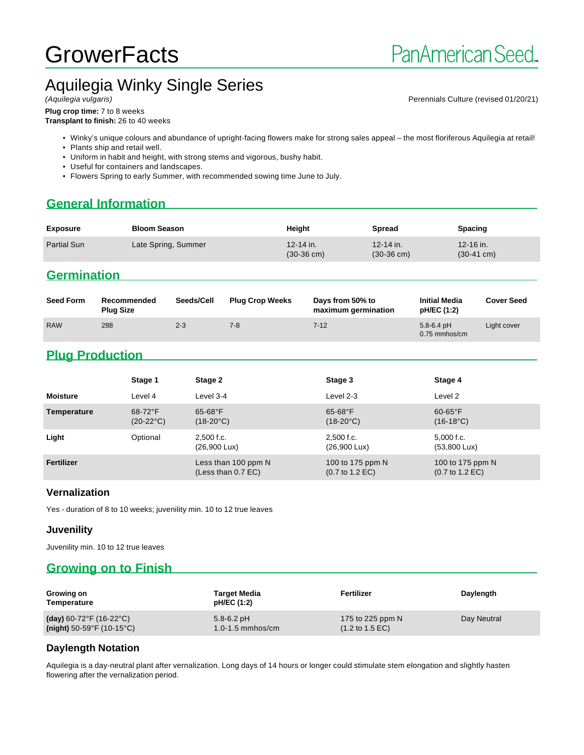# **GrowerFacts**

# Aquilegia Winky Single Series

Perennials Culture (revised 01/20/21)

**Plug crop time:** 7 to 8 weeks **Transplant to finish:** 26 to 40 weeks

- Winky's unique colours and abundance of upright-facing flowers make for strong sales appeal the most floriferous Aquilegia at retail!
- Plants ship and retail well.
- Uniform in habit and height, with strong stems and vigorous, bushy habit.
- Useful for containers and landscapes.
- Flowers Spring to early Summer, with recommended sowing time June to July.

## **General Information**

| <b>Exposure</b>    | <b>Bloom Season</b> | Height                            | Spread                            | <b>Spacing</b>                    |
|--------------------|---------------------|-----------------------------------|-----------------------------------|-----------------------------------|
| <b>Partial Sun</b> | Late Spring, Summer | 12-14 in.<br>$(30-36 \text{ cm})$ | 12-14 in.<br>$(30-36 \text{ cm})$ | 12-16 in.<br>$(30-41 \text{ cm})$ |

### **Germination**

| <b>Seed Form</b> | Recommended<br><b>Plug Size</b> | Seeds/Cell | <b>Plug Crop Weeks</b> | Days from 50% to<br>maximum germination | <b>Initial Media</b><br>pH/EC (1:2) | <b>Cover Seed</b> |
|------------------|---------------------------------|------------|------------------------|-----------------------------------------|-------------------------------------|-------------------|
| <b>RAW</b>       | 288                             | $2 - 3$    | $7 - 8$                | $7 - 12$                                | $5.8 - 6.4$ pH<br>$0.75$ mmhos/cm   | Light cover       |

## **Plug Production**

|                 | Stage 1                          | Stage 2                                   | Stage 3                                                | Stage 4                                                |
|-----------------|----------------------------------|-------------------------------------------|--------------------------------------------------------|--------------------------------------------------------|
| <b>Moisture</b> | Level 4                          | Level 3-4                                 | Level 2-3                                              | Level 2                                                |
| Temperature     | $68-72$ °F<br>$(20-22^{\circ}C)$ | $65 - 68$ °F<br>$(18-20^{\circ}C)$        | $65 - 68$ °F<br>$(18-20^{\circ}C)$                     | $60-65$ °F<br>$(16-18^{\circ}C)$                       |
| Light           | Optional                         | $2.500$ f.c.<br>$(26,900 \text{ Lux})$    | $2.500$ f.c.<br>$(26,900 \text{ Lux})$                 | $5,000$ f.c.<br>$(53,800 \text{ Lux})$                 |
| Fertilizer      |                                  | Less than 100 ppm N<br>(Less than 0.7 EC) | 100 to 175 ppm N<br>$(0.7 \text{ to } 1.2 \text{ EC})$ | 100 to 175 ppm N<br>$(0.7 \text{ to } 1.2 \text{ EC})$ |

#### **Vernalization**

Yes - duration of 8 to 10 weeks; juvenility min. 10 to 12 true leaves

#### **Juvenility**

Juvenility min. 10 to 12 true leaves

## **Growing on to Finish**

| Growing on<br>Temperature                | <b>Target Media</b><br>pH/EC (1:2) | Fertilizer                         | Daylength   |
|------------------------------------------|------------------------------------|------------------------------------|-------------|
| (day) 60-72°F (16-22°C)                  | $5.8 - 6.2$ pH                     | 175 to 225 ppm $N$                 | Day Neutral |
| (night) $50-59^{\circ}F(10-15^{\circ}C)$ | $1.0 - 1.5$ mmhos/cm               | $(1.2 \text{ to } 1.5 \text{ EC})$ |             |

### **Daylength Notation**

Aquilegia is a day-neutral plant after vernalization. Long days of 14 hours or longer could stimulate stem elongation and slightly hasten flowering after the vernalization period.